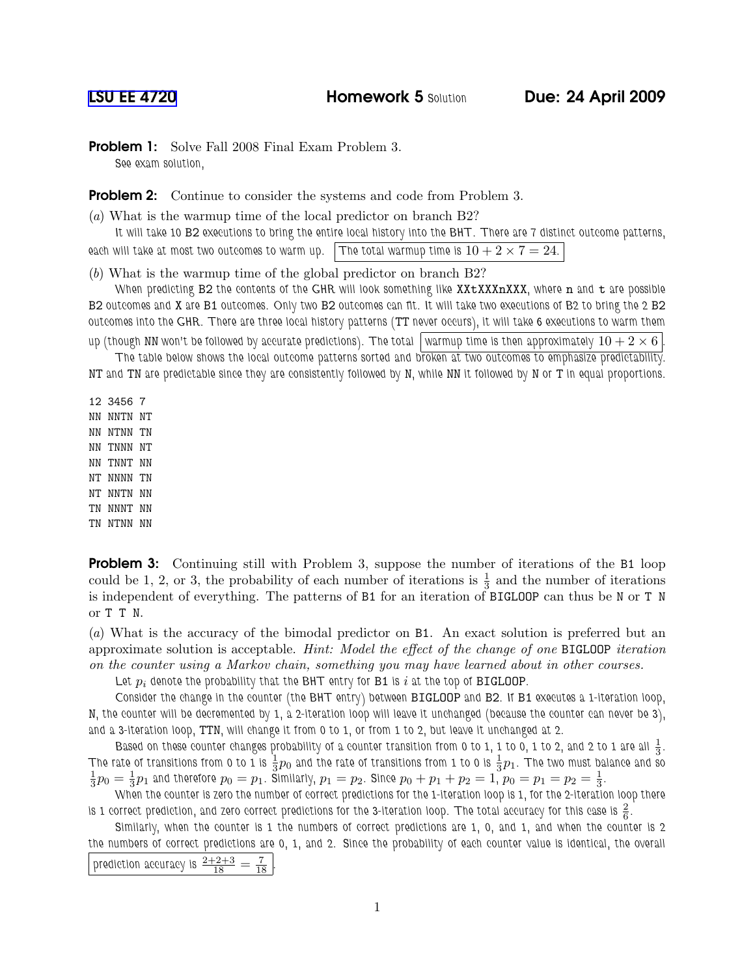**Problem 1:** Solve Fall 2008 Final Exam Problem 3.

See exam solution,

**Problem 2:** Continue to consider the systems and code from Problem 3.

(a) What is the warmup time of the local predictor on branch B2?

It will take 10 B2 executions to bring the entire local history into the BHT. There are 7 distinct outcome patterns,

each will take at most two outcomes to warm up. The total warmup time is  $10 + 2 \times 7 = 24$ .

(b) What is the warmup time of the global predictor on branch B2?

When predicting B2 the contents of the GHR will look something like XXtXXXXXXX, where n and t are possible B2 outcomes and X are B1 outcomes. Only two B2 outcomes can fit. It will take two executions of B2 to bring the 2 B2 outcomes into the GHR. There are three local history patterns (TT never occurs), it will take 6 executions to warm them up (though NN won't be followed by accurate predictions). The total warmup time is then approximately  $10 + 2 \times 6$ 

The table below shows the local outcome patterns sorted and broken at two outcomes to emphasize predictability.

NT and TN are predictable since they are consistently followed by N, while NN it followed by N or T in equal proportions.

12 3456 7 NN NNTN NT NN NTNN TN NN TNNN NT NN TNNT NN NT NNNN TN NT NNTN NN TN NNNT NN TN NTNN NN

**Problem 3:** Continuing still with Problem 3, suppose the number of iterations of the B1 loop could be 1, 2, or 3, the probability of each number of iterations is  $\frac{1}{3}$  and the number of iterations is independent of everything. The patterns of B1 for an iteration of BIGLOOP can thus be N or T N or T T N.

(a) What is the accuracy of the bimodal predictor on B1. An exact solution is preferred but an approximate solution is acceptable. Hint: Model the effect of the change of one BIGLOOP iteration on the counter using a Markov chain, something you may have learned about in other courses.

Let  $p_i$  denote the probability that the BHT entry for B1 is i at the top of BIGLOOP.

Consider the change in the counter (the BHT entry) between BIGLOOP and B2. If B1 executes a 1-iteration loop, N, the counter will be decremented by 1, a 2-iteration loop will leave it unchanged (because the counter can never be 3), and a 3-iteration loop, TTN, will change it from 0 to 1, or from 1 to 2, but leave it unchanged at 2.

Based on these counter changes probability of a counter transition from 0 to 1, 1 to 0, 1 to 2, and 2 to 1 are all  $\frac{1}{3}.$ The rate of transitions from 0 to 1 is  $\frac13p_0$  and the rate of transitions from 1 to 0 is  $\frac13p_1$ . The two must balance and so 1  $\frac{1}{3}p_0 = \frac{1}{3}$  $\frac{1}{3}p_1$  and therefore  $p_0=p_1$ . Similarly,  $p_1=p_2$ . Since  $p_0+p_1+p_2=1$ ,  $p_0=p_1=p_2=\frac{1}{3}$  $\frac{1}{3}$ .

When the counter is zero the number of correct predictions for the 1-iteration loop is 1, for the 2-iteration loop there is 1 correct prediction, and zero correct predictions for the 3-iteration loop. The total accuracy for this case is  $\frac{2}{6}.$ 

Similarly, when the counter is 1 the numbers of correct predictions are 1, 0, and 1, and when the counter is 2 the numbers of correct predictions are 0, 1, and 2. Since the probability of each counter value is identical, the overall

prediction accuracy is  $\frac{2+2+3}{18} = \frac{7}{18}$ .